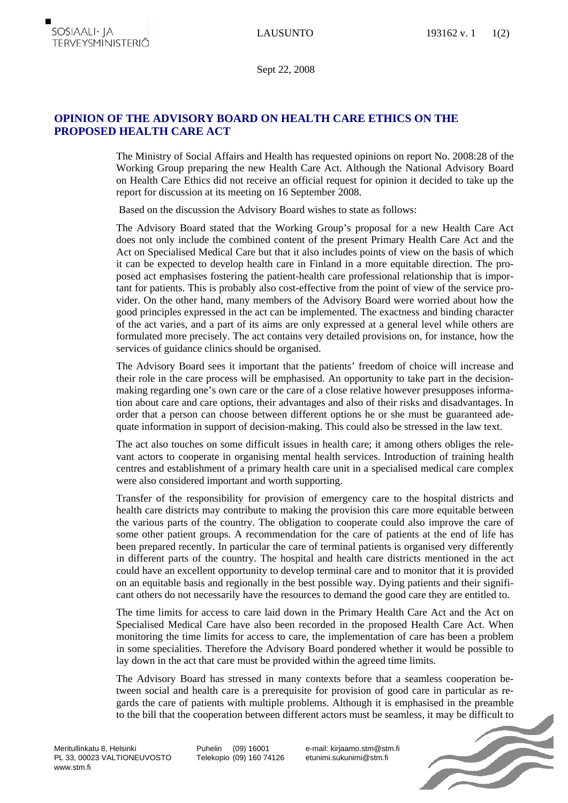Sept 22, 2008

## **OPINION OF THE ADVISORY BOARD ON HEALTH CARE ETHICS ON THE PROPOSED HEALTH CARE ACT**

The Ministry of Social Affairs and Health has requested opinions on report No. 2008:28 of the Working Group preparing the new Health Care Act. Although the National Advisory Board on Health Care Ethics did not receive an official request for opinion it decided to take up the report for discussion at its meeting on 16 September 2008.

Based on the discussion the Advisory Board wishes to state as follows:

The Advisory Board stated that the Working Group's proposal for a new Health Care Act does not only include the combined content of the present Primary Health Care Act and the Act on Specialised Medical Care but that it also includes points of view on the basis of which it can be expected to develop health care in Finland in a more equitable direction. The proposed act emphasises fostering the patient-health care professional relationship that is important for patients. This is probably also cost-effective from the point of view of the service provider. On the other hand, many members of the Advisory Board were worried about how the good principles expressed in the act can be implemented. The exactness and binding character of the act varies, and a part of its aims are only expressed at a general level while others are formulated more precisely. The act contains very detailed provisions on, for instance, how the services of guidance clinics should be organised.

The Advisory Board sees it important that the patients' freedom of choice will increase and their role in the care process will be emphasised. An opportunity to take part in the decisionmaking regarding one's own care or the care of a close relative however presupposes information about care and care options, their advantages and also of their risks and disadvantages. In order that a person can choose between different options he or she must be guaranteed adequate information in support of decision-making. This could also be stressed in the law text.

The act also touches on some difficult issues in health care; it among others obliges the relevant actors to cooperate in organising mental health services. Introduction of training health centres and establishment of a primary health care unit in a specialised medical care complex were also considered important and worth supporting.

Transfer of the responsibility for provision of emergency care to the hospital districts and health care districts may contribute to making the provision this care more equitable between the various parts of the country. The obligation to cooperate could also improve the care of some other patient groups. A recommendation for the care of patients at the end of life has been prepared recently. In particular the care of terminal patients is organised very differently in different parts of the country. The hospital and health care districts mentioned in the act could have an excellent opportunity to develop terminal care and to monitor that it is provided on an equitable basis and regionally in the best possible way. Dying patients and their significant others do not necessarily have the resources to demand the good care they are entitled to.

The time limits for access to care laid down in the Primary Health Care Act and the Act on Specialised Medical Care have also been recorded in the proposed Health Care Act. When monitoring the time limits for access to care, the implementation of care has been a problem in some specialities. Therefore the Advisory Board pondered whether it would be possible to lay down in the act that care must be provided within the agreed time limits.

The Advisory Board has stressed in many contexts before that a seamless cooperation between social and health care is a prerequisite for provision of good care in particular as regards the care of patients with multiple problems. Although it is emphasised in the preamble to the bill that the cooperation between different actors must be seamless, it may be difficult to

Meritullinkatu 8, Helsinki PL 33, 00023 VALTIONEUVOSTO www.stm.fi

Puhelin (09) 16001 Telekopio (09) 160 74126 e-mail: kirjaamo.stm@stm.fi etunimi.sukunimi@stm.fi